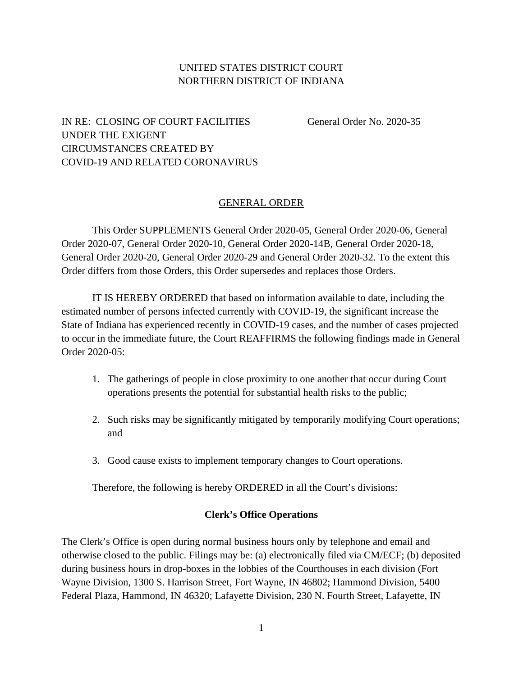## UNITED STATES DISTRICT COURT NORTHERN DISTRICT OF INDIANA

## IN RE: CLOSING OF COURT FACILITIES General Order No. 2020-35 UNDER THE EXIGENT CIRCUMSTANCES CREATED BY COVID-19 AND RELATED CORONAVIRUS

## GENERAL ORDER

This Order SUPPLEMENTS General Order 2020-05, General Order 2020-06, General Order 2020-07, General Order 2020-10, General Order 2020-14B, General Order 2020-18, General Order 2020-20, General Order 2020-29 and General Order 2020-32. To the extent this Order differs from those Orders, this Order supersedes and replaces those Orders.

IT IS HEREBY ORDERED that based on information available to date, including the estimated number of persons infected currently with COVID-19, the significant increase the State of Indiana has experienced recently in COVID-19 cases, and the number of cases projected to occur in the immediate future, the Court REAFFIRMS the following findings made in General Order 2020-05:

- 1. The gatherings of people in close proximity to one another that occur during Court operations presents the potential for substantial health risks to the public;
- 2. Such risks may be significantly mitigated by temporarily modifying Court operations; and
- 3. Good cause exists to implement temporary changes to Court operations.

Therefore, the following is hereby ORDERED in all the Court's divisions:

## **Clerk's Office Operations**

The Clerk's Office is open during normal business hours only by telephone and email and otherwise closed to the public. Filings may be: (a) electronically filed via CM/ECF; (b) deposited during business hours in drop-boxes in the lobbies of the Courthouses in each division (Fort Wayne Division, 1300 S. Harrison Street, Fort Wayne, IN 46802; Hammond Division, 5400 Federal Plaza, Hammond, IN 46320; Lafayette Division, 230 N. Fourth Street, Lafayette, IN